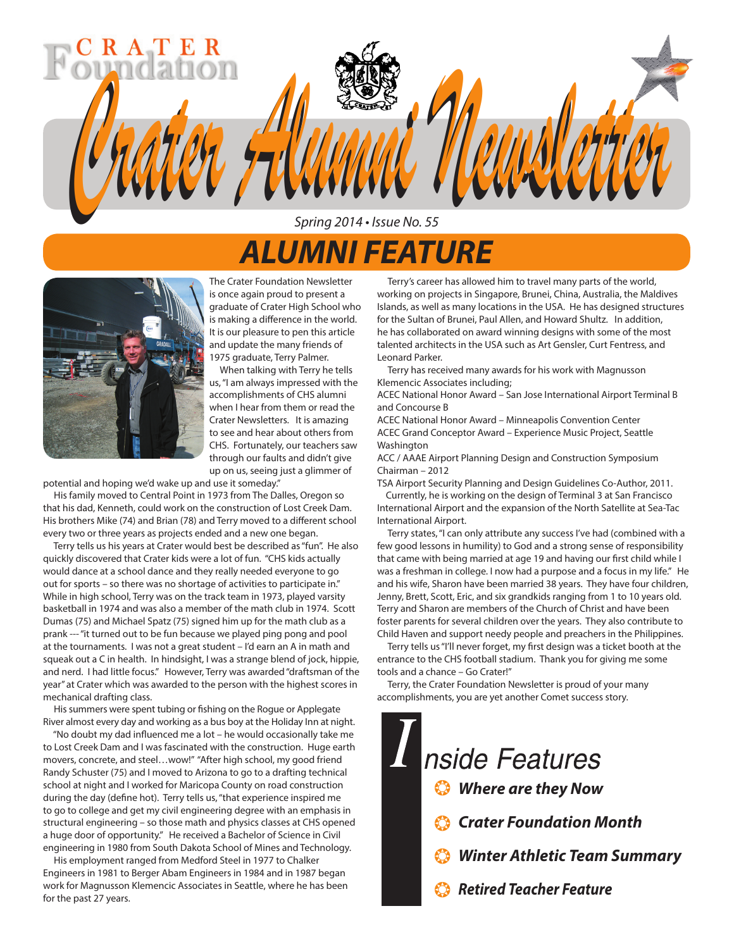# *Crater Alumni Newsletter Crater Alumni Newsletter* Spring 2014 • Issue No. 55

## *ALUMNI FEATURE*



The Crater Foundation Newsletter is once again proud to present a graduate of Crater High School who is making a difference in the world. It is our pleasure to pen this article and update the many friends of 1975 graduate, Terry Palmer.

 When talking with Terry he tells us, "I am always impressed with the accomplishments of CHS alumni when I hear from them or read the Crater Newsletters. It is amazing to see and hear about others from CHS. Fortunately, our teachers saw through our faults and didn't give up on us, seeing just a glimmer of

potential and hoping we'd wake up and use it someday."

 His family moved to Central Point in 1973 from The Dalles, Oregon so that his dad, Kenneth, could work on the construction of Lost Creek Dam. His brothers Mike (74) and Brian (78) and Terry moved to a different school every two or three years as projects ended and a new one began.

 Terry tells us his years at Crater would best be described as "fun". He also quickly discovered that Crater kids were a lot of fun. "CHS kids actually would dance at a school dance and they really needed everyone to go out for sports – so there was no shortage of activities to participate in." While in high school, Terry was on the track team in 1973, played varsity basketball in 1974 and was also a member of the math club in 1974. Scott Dumas (75) and Michael Spatz (75) signed him up for the math club as a prank --- "it turned out to be fun because we played ping pong and pool at the tournaments. I was not a great student – I'd earn an A in math and squeak out a C in health. In hindsight, I was a strange blend of jock, hippie, and nerd. I had little focus." However, Terry was awarded "draftsman of the year" at Crater which was awarded to the person with the highest scores in mechanical drafting class.

 His summers were spent tubing or fishing on the Rogue or Applegate River almost every day and working as a bus boy at the Holiday Inn at night.

 "No doubt my dad influenced me a lot – he would occasionally take me to Lost Creek Dam and I was fascinated with the construction. Huge earth movers, concrete, and steel…wow!" "After high school, my good friend Randy Schuster (75) and I moved to Arizona to go to a drafting technical school at night and I worked for Maricopa County on road construction during the day (define hot). Terry tells us, "that experience inspired me to go to college and get my civil engineering degree with an emphasis in structural engineering – so those math and physics classes at CHS opened a huge door of opportunity." He received a Bachelor of Science in Civil engineering in 1980 from South Dakota School of Mines and Technology.

 His employment ranged from Medford Steel in 1977 to Chalker Engineers in 1981 to Berger Abam Engineers in 1984 and in 1987 began work for Magnusson Klemencic Associates in Seattle, where he has been for the past 27 years.

 Terry's career has allowed him to travel many parts of the world, working on projects in Singapore, Brunei, China, Australia, the Maldives Islands, as well as many locations in the USA. He has designed structures for the Sultan of Brunei, Paul Allen, and Howard Shultz. In addition, he has collaborated on award winning designs with some of the most talented architects in the USA such as Art Gensler, Curt Fentress, and Leonard Parker.

 Terry has received many awards for his work with Magnusson Klemencic Associates including;

ACEC National Honor Award – San Jose International Airport Terminal B and Concourse B

ACEC National Honor Award – Minneapolis Convention Center ACEC Grand Conceptor Award – Experience Music Project, Seattle Washington

ACC / AAAE Airport Planning Design and Construction Symposium Chairman – 2012

TSA Airport Security Planning and Design Guidelines Co-Author, 2011.

 Currently, he is working on the design of Terminal 3 at San Francisco International Airport and the expansion of the North Satellite at Sea-Tac International Airport.

 Terry states, "I can only attribute any success I've had (combined with a few good lessons in humility) to God and a strong sense of responsibility that came with being married at age 19 and having our first child while I was a freshman in college. I now had a purpose and a focus in my life." He and his wife, Sharon have been married 38 years. They have four children, Jenny, Brett, Scott, Eric, and six grandkids ranging from 1 to 10 years old. Terry and Sharon are members of the Church of Christ and have been foster parents for several children over the years. They also contribute to Child Haven and support needy people and preachers in the Philippines.

 Terry tells us "I'll never forget, my first design was a ticket booth at the entrance to the CHS football stadium. Thank you for giving me some tools and a chance – Go Crater!"

 Terry, the Crater Foundation Newsletter is proud of your many accomplishments, you are yet another Comet success story.

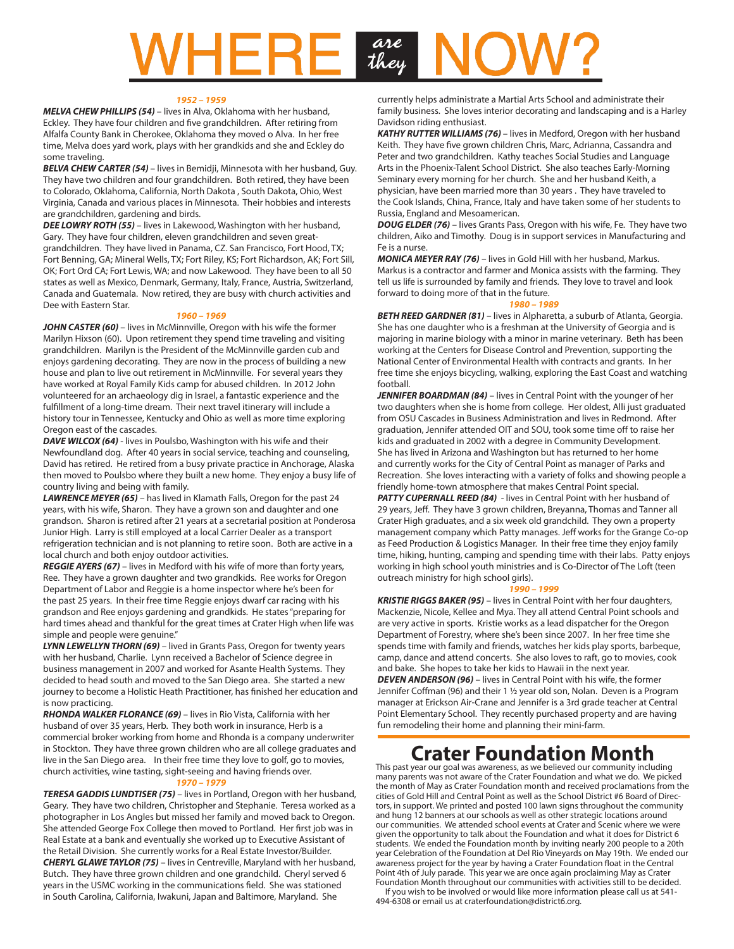## are they

#### *1952 – 1959*

*MELVA CHEW PHILLIPS (54)* – lives in Alva, Oklahoma with her husband, Eckley. They have four children and five grandchildren. After retiring from Alfalfa County Bank in Cherokee, Oklahoma they moved o Alva. In her free time, Melva does yard work, plays with her grandkids and she and Eckley do some traveling.

**BELVA CHEW CARTER (54)** – lives in Bemidji, Minnesota with her husband, Guy. They have two children and four grandchildren. Both retired, they have been to Colorado, Oklahoma, California, North Dakota , South Dakota, Ohio, West Virginia, Canada and various places in Minnesota. Their hobbies and interests are grandchildren, gardening and birds.

*DEE LOWRY ROTH (55)* – lives in Lakewood, Washington with her husband, Gary. They have four children, eleven grandchildren and seven greatgrandchildren. They have lived in Panama, CZ. San Francisco, Fort Hood, TX; Fort Benning, GA; Mineral Wells, TX; Fort Riley, KS; Fort Richardson, AK; Fort Sill, OK; Fort Ord CA; Fort Lewis, WA; and now Lakewood. They have been to all 50 states as well as Mexico, Denmark, Germany, Italy, France, Austria, Switzerland, Canada and Guatemala. Now retired, they are busy with church activities and Dee with Eastern Star.

### *1960 – 1969*

*JOHN CASTER (60)* – lives in McMinnville, Oregon with his wife the former Marilyn Hixson (60). Upon retirement they spend time traveling and visiting grandchildren. Marilyn is the President of the McMinnville garden cub and enjoys gardening decorating. They are now in the process of building a new house and plan to live out retirement in McMinnville. For several years they have worked at Royal Family Kids camp for abused children. In 2012 John volunteered for an archaeology dig in Israel, a fantastic experience and the fulfillment of a long-time dream. Their next travel itinerary will include a history tour in Tennessee, Kentucky and Ohio as well as more time exploring Oregon east of the cascades.

*DAVE WILCOX (64)* - lives in Poulsbo, Washington with his wife and their Newfoundland dog. After 40 years in social service, teaching and counseling, David has retired. He retired from a busy private practice in Anchorage, Alaska then moved to Poulsbo where they built a new home. They enjoy a busy life of country living and being with family.

*LAWRENCE MEYER (65)* – has lived in Klamath Falls, Oregon for the past 24 years, with his wife, Sharon. They have a grown son and daughter and one grandson. Sharon is retired after 21 years at a secretarial position at Ponderosa Junior High. Larry is still employed at a local Carrier Dealer as a transport refrigeration technician and is not planning to retire soon. Both are active in a local church and both enjoy outdoor activities.

*REGGIE AYERS (67)* – lives in Medford with his wife of more than forty years, Ree. They have a grown daughter and two grandkids. Ree works for Oregon Department of Labor and Reggie is a home inspector where he's been for the past 25 years. In their free time Reggie enjoys dwarf car racing with his grandson and Ree enjoys gardening and grandkids. He states "preparing for hard times ahead and thankful for the great times at Crater High when life was simple and people were genuine."

*LYNN LEWELLYN THORN (69)* – lived in Grants Pass, Oregon for twenty years with her husband, Charlie. Lynn received a Bachelor of Science degree in business management in 2007 and worked for Asante Health Systems. They decided to head south and moved to the San Diego area. She started a new journey to become a Holistic Heath Practitioner, has finished her education and is now practicing.

*RHONDA WALKER FLORANCE (69)* – lives in Rio Vista, California with her husband of over 35 years, Herb. They both work in insurance, Herb is a commercial broker working from home and Rhonda is a company underwriter in Stockton. They have three grown children who are all college graduates and live in the San Diego area. In their free time they love to golf, go to movies, church activities, wine tasting, sight-seeing and having friends over.

#### *1970 – 1979*

*TERESA GADDIS LUNDTISER (75)* – lives in Portland, Oregon with her husband, Geary. They have two children, Christopher and Stephanie. Teresa worked as a photographer in Los Angles but missed her family and moved back to Oregon. She attended George Fox College then moved to Portland. Her first job was in Real Estate at a bank and eventually she worked up to Executive Assistant of the Retail Division. She currently works for a Real Estate Investor/Builder. *CHERYL GLAWE TAYLOR (75)* – lives in Centreville, Maryland with her husband, Butch. They have three grown children and one grandchild. Cheryl served 6 years in the USMC working in the communications field. She was stationed in South Carolina, California, Iwakuni, Japan and Baltimore, Maryland. She

currently helps administrate a Martial Arts School and administrate their family business. She loves interior decorating and landscaping and is a Harley Davidson riding enthusiast.

*KATHY RUTTER WILLIAMS (76)* – lives in Medford, Oregon with her husband Keith. They have five grown children Chris, Marc, Adrianna, Cassandra and Peter and two grandchildren. Kathy teaches Social Studies and Language Arts in the Phoenix-Talent School District. She also teaches Early-Morning Seminary every morning for her church. She and her husband Keith, a physician, have been married more than 30 years . They have traveled to the Cook Islands, China, France, Italy and have taken some of her students to Russia, England and Mesoamerican.

*DOUG ELDER (76)* – lives Grants Pass, Oregon with his wife, Fe. They have two children, Aiko and Timothy. Doug is in support services in Manufacturing and Fe is a nurse.

*MONICA MEYER RAY (76)* – lives in Gold Hill with her husband, Markus. Markus is a contractor and farmer and Monica assists with the farming. They tell us life is surrounded by family and friends. They love to travel and look forward to doing more of that in the future.

#### *1980 – 1989*

*BETH REED GARDNER (81)* – lives in Alpharetta, a suburb of Atlanta, Georgia. She has one daughter who is a freshman at the University of Georgia and is majoring in marine biology with a minor in marine veterinary. Beth has been working at the Centers for Disease Control and Prevention, supporting the National Center of Environmental Health with contracts and grants. In her free time she enjoys bicycling, walking, exploring the East Coast and watching football.

**JENNIFER BOARDMAN (84)** – lives in Central Point with the younger of her two daughters when she is home from college. Her oldest, Alli just graduated from OSU Cascades in Business Administration and lives in Redmond. After graduation, Jennifer attended OIT and SOU, took some time off to raise her kids and graduated in 2002 with a degree in Community Development. She has lived in Arizona and Washington but has returned to her home and currently works for the City of Central Point as manager of Parks and Recreation. She loves interacting with a variety of folks and showing people a friendly home-town atmosphere that makes Central Point special.

**PATTY CUPERNALL REED (84)** - lives in Central Point with her husband of 29 years, Jeff. They have 3 grown children, Breyanna, Thomas and Tanner all Crater High graduates, and a six week old grandchild. They own a property management company which Patty manages. Jeff works for the Grange Co-op as Feed Production & Logistics Manager. In their free time they enjoy family time, hiking, hunting, camping and spending time with their labs. Patty enjoys working in high school youth ministries and is Co-Director of The Loft (teen outreach ministry for high school girls).

#### *1990 – 1999*

*KRISTIE RIGGS BAKER (95)* – lives in Central Point with her four daughters, Mackenzie, Nicole, Kellee and Mya. They all attend Central Point schools and are very active in sports. Kristie works as a lead dispatcher for the Oregon Department of Forestry, where she's been since 2007. In her free time she spends time with family and friends, watches her kids play sports, barbeque, camp, dance and attend concerts. She also loves to raft, go to movies, cook and bake. She hopes to take her kids to Hawaii in the next year. *DEVEN ANDERSON (96)* – lives in Central Point with his wife, the former Jennifer Coffman (96) and their 1 ½ year old son, Nolan. Deven is a Program manager at Erickson Air-Crane and Jennifer is a 3rd grade teacher at Central Point Elementary School. They recently purchased property and are having fun remodeling their home and planning their mini-farm.

## **Crater Foundation Month**

This past year our goal was awareness, as we believed our community including many parents was not aware of the Crater Foundation and what we do. We picked the month of May as Crater Foundation month and received proclamations from the cities of Gold Hill and Central Point as well as the School District #6 Board of Directors, in support. We printed and posted 100 lawn signs throughout the community and hung 12 banners at our schools as well as other strategic locations around our communities. We attended school events at Crater and Scenic where we were given the opportunity to talk about the Foundation and what it does for District 6 students. We ended the Foundation month by inviting nearly 200 people to a 20th year Celebration of the Foundation at Del Rio Vineyards on May 19th. We ended our awareness project for the year by having a Crater Foundation float in the Central Point 4th of July parade. This year we are once again proclaiming May as Crater Foundation Month throughout our communities with activities still to be decided.

 If you wish to be involved or would like more information please call us at 541- 494-6308 or email us at craterfoundation@district6.org.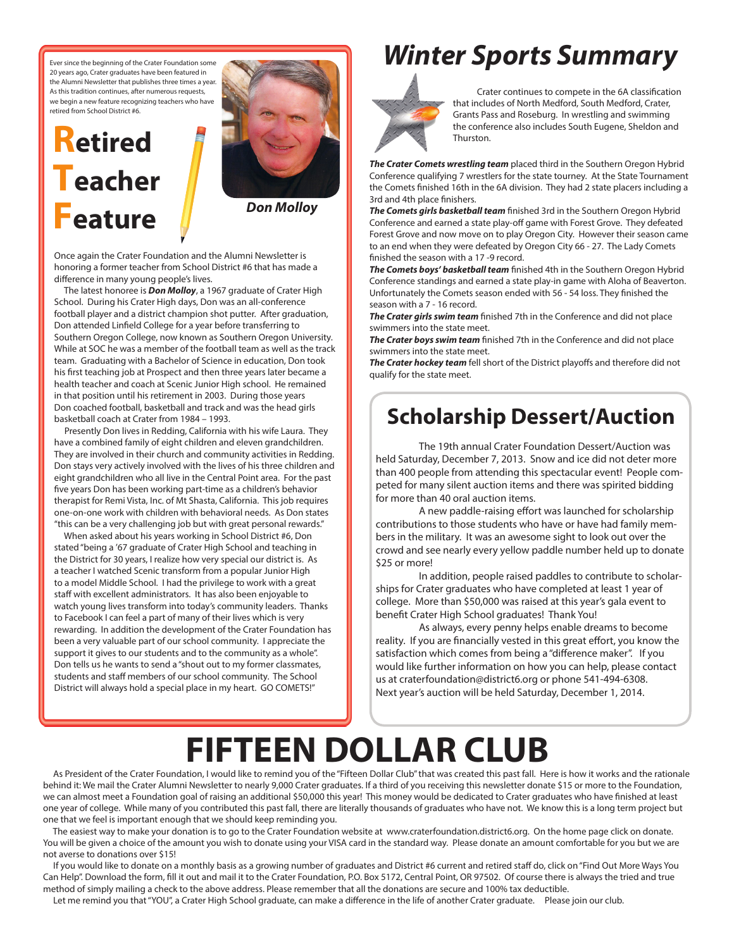Ever since the beginning of the Crater Foundation some 20 years ago, Crater graduates have been featured in the Alumni Newsletter that publishes three times a year. As this tradition continues, after numerous requests, we begin a new feature recognizing teachers who have retired from School District #6.

# **Retired Teacher Feature**



*Don Molloy*

Once again the Crater Foundation and the Alumni Newsletter is honoring a former teacher from School District #6 that has made a difference in many young people's lives.

 The latest honoree is *Don Molloy*, a 1967 graduate of Crater High School. During his Crater High days, Don was an all-conference football player and a district champion shot putter. After graduation, Don attended Linfield College for a year before transferring to Southern Oregon College, now known as Southern Oregon University. While at SOC he was a member of the football team as well as the track team. Graduating with a Bachelor of Science in education, Don took his first teaching job at Prospect and then three years later became a health teacher and coach at Scenic Junior High school. He remained in that position until his retirement in 2003. During those years Don coached football, basketball and track and was the head girls basketball coach at Crater from 1984 – 1993.

 Presently Don lives in Redding, California with his wife Laura. They have a combined family of eight children and eleven grandchildren. They are involved in their church and community activities in Redding. Don stays very actively involved with the lives of his three children and eight grandchildren who all live in the Central Point area. For the past five years Don has been working part-time as a children's behavior therapist for Remi Vista, Inc. of Mt Shasta, California. This job requires one-on-one work with children with behavioral needs. As Don states "this can be a very challenging job but with great personal rewards."

 When asked about his years working in School District #6, Don stated "being a '67 graduate of Crater High School and teaching in the District for 30 years, I realize how very special our district is. As a teacher I watched Scenic transform from a popular Junior High to a model Middle School. I had the privilege to work with a great staff with excellent administrators. It has also been enjoyable to watch young lives transform into today's community leaders. Thanks to Facebook I can feel a part of many of their lives which is very rewarding. In addition the development of the Crater Foundation has been a very valuable part of our school community. I appreciate the support it gives to our students and to the community as a whole". Don tells us he wants to send a "shout out to my former classmates, students and staff members of our school community. The School District will always hold a special place in my heart. GO COMETS!"

## *Winter Sports Summary*



Crater continues to compete in the 6A classification that includes of North Medford, South Medford, Crater, Grants Pass and Roseburg. In wrestling and swimming the conference also includes South Eugene, Sheldon and Thurston.

*The Crater Comets wrestling team* placed third in the Southern Oregon Hybrid Conference qualifying 7 wrestlers for the state tourney. At the State Tournament the Comets finished 16th in the 6A division. They had 2 state placers including a 3rd and 4th place finishers.

*The Comets girls basketball team* finished 3rd in the Southern Oregon Hybrid Conference and earned a state play-off game with Forest Grove. They defeated Forest Grove and now move on to play Oregon City. However their season came to an end when they were defeated by Oregon City 66 - 27. The Lady Comets finished the season with a 17 -9 record.

*The Comets boys' basketball team* finished 4th in the Southern Oregon Hybrid Conference standings and earned a state play-in game with Aloha of Beaverton. Unfortunately the Comets season ended with 56 - 54 loss. They finished the season with a 7 - 16 record.

*The Crater girls swim team* finished 7th in the Conference and did not place swimmers into the state meet.

*The Crater boys swim team* finished 7th in the Conference and did not place swimmers into the state meet.

*The Crater hockey team* fell short of the District playoffs and therefore did not qualify for the state meet.

## **Scholarship Dessert/Auction**

The 19th annual Crater Foundation Dessert/Auction was held Saturday, December 7, 2013. Snow and ice did not deter more than 400 people from attending this spectacular event! People competed for many silent auction items and there was spirited bidding for more than 40 oral auction items.

A new paddle-raising effort was launched for scholarship contributions to those students who have or have had family members in the military. It was an awesome sight to look out over the crowd and see nearly every yellow paddle number held up to donate \$25 or more!

In addition, people raised paddles to contribute to scholarships for Crater graduates who have completed at least 1 year of college. More than \$50,000 was raised at this year's gala event to benefit Crater High School graduates! Thank You!

As always, every penny helps enable dreams to become reality. If you are financially vested in this great effort, you know the satisfaction which comes from being a "difference maker". If you would like further information on how you can help, please contact us at craterfoundation@district6.org or phone 541-494-6308. Next year's auction will be held Saturday, December 1, 2014.

# **FIFTEEN DOLLAR CLUB**

 As President of the Crater Foundation, I would like to remind you of the "Fifteen Dollar Club" that was created this past fall. Here is how it works and the rationale behind it: We mail the Crater Alumni Newsletter to nearly 9,000 Crater graduates. If a third of you receiving this newsletter donate \$15 or more to the Foundation, we can almost meet a Foundation goal of raising an additional \$50,000 this year! This money would be dedicated to Crater graduates who have finished at least one year of college. While many of you contributed this past fall, there are literally thousands of graduates who have not. We know this is a long term project but one that we feel is important enough that we should keep reminding you.

 The easiest way to make your donation is to go to the Crater Foundation website at www.craterfoundation.district6.org. On the home page click on donate. You will be given a choice of the amount you wish to donate using your VISA card in the standard way. Please donate an amount comfortable for you but we are not averse to donations over \$15!

 If you would like to donate on a monthly basis as a growing number of graduates and District #6 current and retired staff do, click on "Find Out More Ways You Can Help". Download the form, fill it out and mail it to the Crater Foundation, P.O. Box 5172, Central Point, OR 97502. Of course there is always the tried and true method of simply mailing a check to the above address. Please remember that all the donations are secure and 100% tax deductible.

Let me remind you that "YOU", a Crater High School graduate, can make a difference in the life of another Crater graduate. Please join our club.